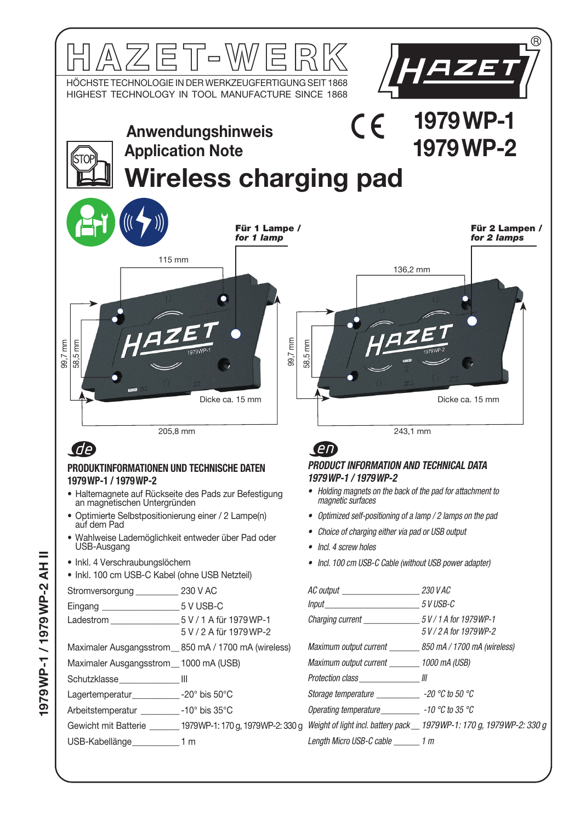

979 WP-1 / 1979 WP-2 AH II 1979WP-1 / 1979WP-2 AH II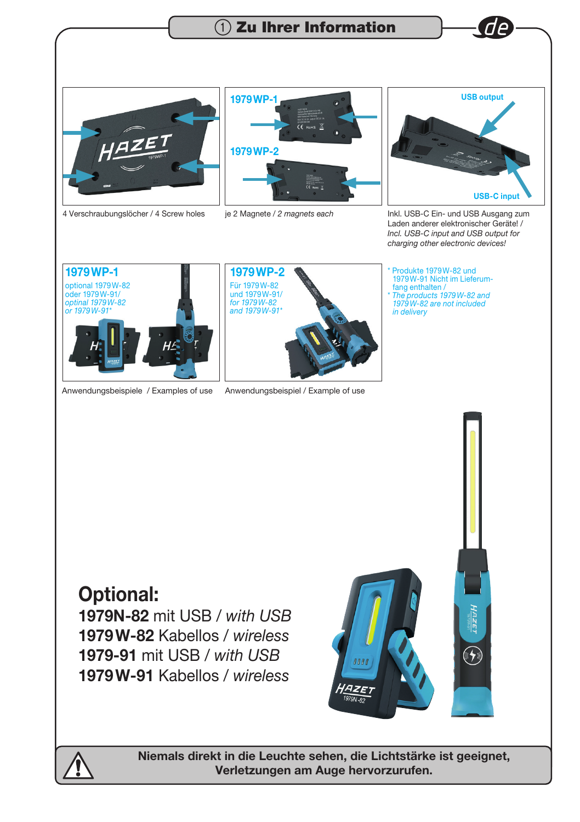



4 Verschraubungslöcher / 4 Screw holes





je 2 Magnete / *2 magnets each* Inkl. USB-C Ein- und USB Ausgang zum Laden anderer elektronischer Geräte! / *Incl. USB-C input and USB output for charging other electronic devices!*





Anwendungsbeispiele / Examples of use Anwendungsbeispiel / Example of use

\* Produkte 1979W-82 und 1979W-91 Nicht im Lieferumfang enthalten / \* *The products 1979W-82 and 1979W-82 are not included in delivery*

# Optional:

1979N-82 mit USB / *with USB* 1979W-82 Kabellos / *wireless* 1979-91 mit USB / *with USB* 1979W-91 Kabellos / *wireless*



HAZEI

 $(\sqrt{2})$ 



Niemals direkt in die Leuchte sehen, die Lichtstärke ist geeignet, Verletzungen am Auge hervorzurufen.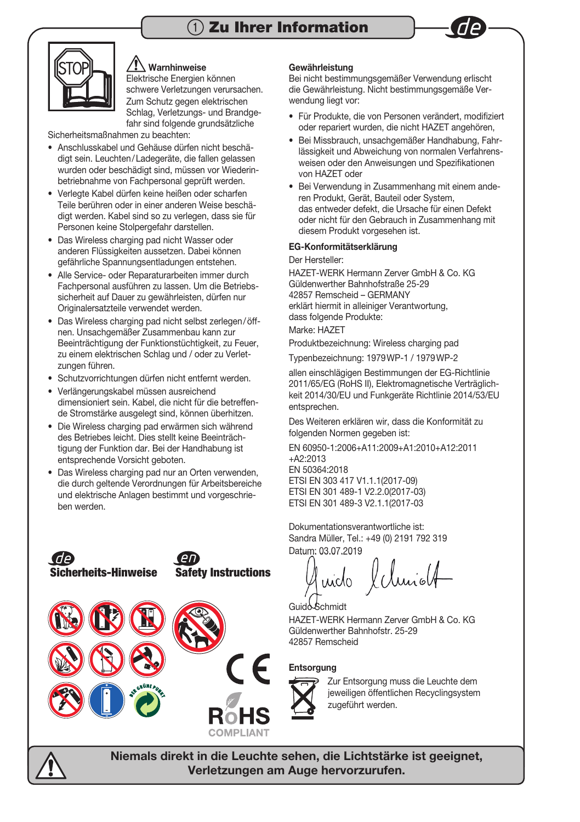# $\Omega$  Zu Ihrer Information





## **Warnhinweise**

 Elektrische Energien können schwere Verletzungen verursachen. Zum Schutz gegen elektrischen Schlag, Verletzungs- und Brandgefahr sind folgende grundsätzliche

Sicherheitsmaßnahmen zu beachten:

- Anschlusskabel und Gehäuse dürfen nicht beschädigt sein. Leuchten / Ladegeräte, die fallen gelassen wurden oder beschädigt sind, müssen vor Wiederinbetriebnahme von Fachpersonal geprüft werden.
- Verlegte Kabel dürfen keine heißen oder scharfen Teile berühren oder in einer anderen Weise beschädigt werden. Kabel sind so zu verlegen, dass sie für Personen keine Stolpergefahr darstellen.
- Das Wireless charging pad nicht Wasser oder anderen Flüssigkeiten aussetzen. Dabei können gefährliche Spannungsentladungen entstehen.
- Alle Service- oder Reparaturarbeiten immer durch Fachpersonal ausführen zu lassen. Um die Betriebssicherheit auf Dauer zu gewährleisten, dürfen nur Originalersatzteile verwendet werden.
- Das Wireless charging pad nicht selbst zerlegen / öffnen. Unsachgemäßer Zusammenbau kann zur Beeinträchtigung der Funktionstüchtigkeit, zu Feuer, zu einem elektrischen Schlag und / oder zu Verletzungen führen.
- Schutzvorrichtungen dürfen nicht entfernt werden.
- Verlängerungskabel müssen ausreichend dimensioniert sein. Kabel, die nicht für die betreffende Stromstärke ausgelegt sind, können überhitzen.
- Die Wireless charging pad erwärmen sich während des Betriebes leicht. Dies stellt keine Beeinträchtigung der Funktion dar. Bei der Handhabung ist entsprechende Vorsicht geboten.
- Das Wireless charging pad nur an Orten verwenden, die durch geltende Verordnungen für Arbeitsbereiche und elektrische Anlagen bestimmt und vorgeschrieben werden.



Sicherheits-Hinweise Safety Instructions

Ge

#### Gewährleistung

Bei nicht bestimmungsgemäßer Verwendung erlischt die Gewährleistung. Nicht bestimmungsgemäße Verwendung liegt vor:

- Für Produkte, die von Personen verändert, modifiziert oder repariert wurden, die nicht HAZET angehören,
- Bei Missbrauch, unsachgemäßer Handhabung, Fahrlässigkeit und Abweichung von normalen Verfahrensweisen oder den Anweisungen und Spezifikationen von HAZET oder
- Bei Verwendung in Zusammenhang mit einem anderen Produkt, Gerät, Bauteil oder System, das entweder defekt, die Ursache für einen Defekt oder nicht für den Gebrauch in Zusammenhang mit diesem Produkt vorgesehen ist.

### EG-Konformitätserklärung

Der Hersteller:

HAZET-WERK Hermann Zerver GmbH & Co. KG Güldenwerther Bahnhofstraße 25-29 42857 Remscheid – GERMANY erklärt hiermit in alleiniger Verantwortung, dass folgende Produkte:

Marke: HAZET

Produktbezeichnung: Wireless charging pad

Typenbezeichnung: 1979 WP-1 / 1979 WP-2

allen einschlägigen Bestimmungen der EG-Richtlinie 2011/65/EG (RoHS II), Elektromagnetische Verträglichkeit 2014/30/EU und Funkgeräte Richtlinie 2014/53/EU entsprechen.

Des Weiteren erklären wir, dass die Konformität zu folgenden Normen gegeben ist:

EN 60950-1:2006+A11:2009+A1:2010+A12:2011  $+42.2013$ EN 50364:2018 ETSI EN 303 417 V1.1.1(2017-09) ETSI EN 301 489-1 V2.2.0(2017-03) ETSI EN 301 489-3 V2.1.1(2017-03

Dokumentationsverantwortliche ist: Sandra Müller, Tel.: +49 (0) 2191 792 319 Datum: 03.07.2019

Guido Schmidt HAZET-WERK Hermann Zerver GmbH & Co. KG Güldenwerther Bahnhofstr. 25-29

## Entsorgung

42857 Remscheid



Zur Entsorgung muss die Leuchte dem jeweiligen öffentlichen Recyclingsystem zugeführt werden.

Niemals direkt in die Leuchte sehen, die Lichtstärke ist geeignet, Verletzungen am Auge hervorzurufen.